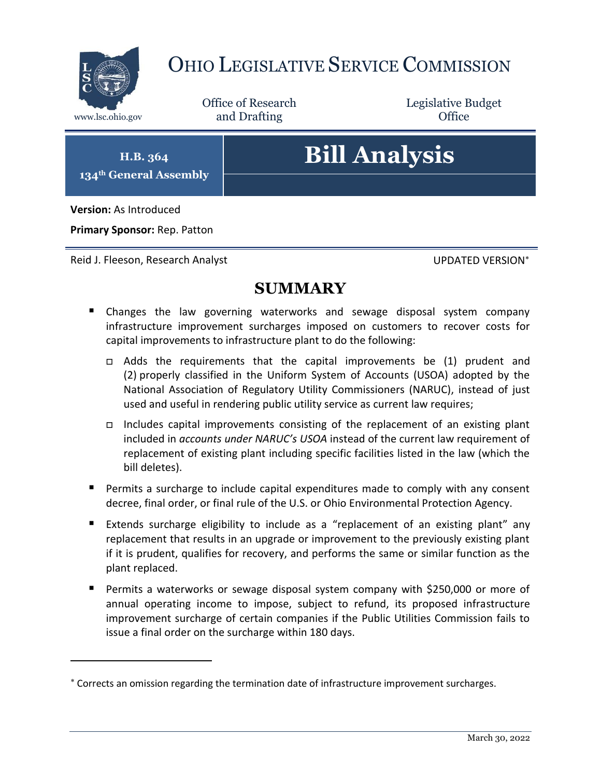

## OHIO LEGISLATIVE SERVICE COMMISSION

Office of Research www.lsc.ohio.gov **and Drafting Office** 

Legislative Budget

**H.B. 364 134th General Assembly**

# **Bill Analysis**

**Version:** As Introduced

 $\overline{a}$ 

**Primary Sponsor:** Rep. Patton

Reid J. Fleeson, Research Analyst New York UPDATED VERSION\*

### **SUMMARY**

- **E** Changes the law governing waterworks and sewage disposal system company infrastructure improvement surcharges imposed on customers to recover costs for capital improvements to infrastructure plant to do the following:
	- Adds the requirements that the capital improvements be (1) prudent and (2) properly classified in the Uniform System of Accounts (USOA) adopted by the National Association of Regulatory Utility Commissioners (NARUC), instead of just used and useful in rendering public utility service as current law requires;
	- Includes capital improvements consisting of the replacement of an existing plant included in *accounts under NARUC's USOA* instead of the current law requirement of replacement of existing plant including specific facilities listed in the law (which the bill deletes).
- **Permits a surcharge to include capital expenditures made to comply with any consent** decree, final order, or final rule of the U.S. or Ohio Environmental Protection Agency.
- Extends surcharge eligibility to include as a "replacement of an existing plant" any replacement that results in an upgrade or improvement to the previously existing plant if it is prudent, qualifies for recovery, and performs the same or similar function as the plant replaced.
- Permits a waterworks or sewage disposal system company with \$250,000 or more of annual operating income to impose, subject to refund, its proposed infrastructure improvement surcharge of certain companies if the Public Utilities Commission fails to issue a final order on the surcharge within 180 days.

Corrects an omission regarding the termination date of infrastructure improvement surcharges.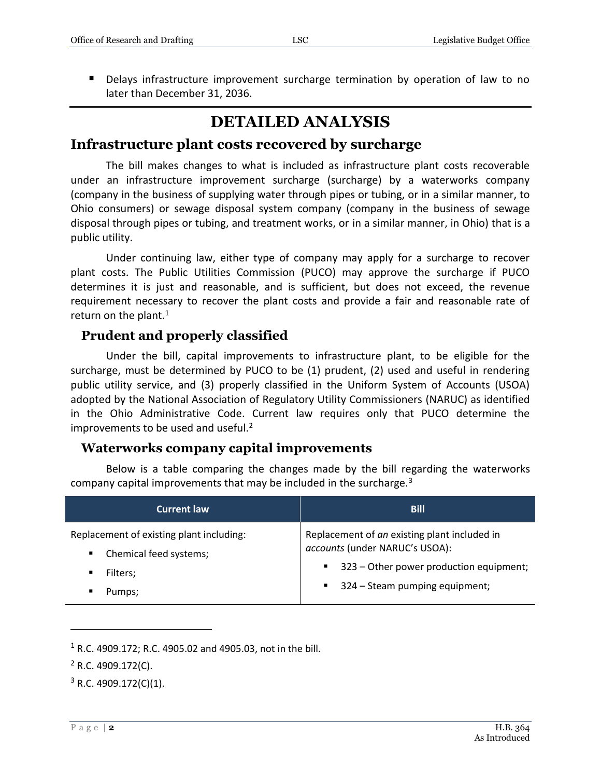Delays infrastructure improvement surcharge termination by operation of law to no later than December 31, 2036.

## **DETAILED ANALYSIS**

#### **Infrastructure plant costs recovered by surcharge**

The bill makes changes to what is included as infrastructure plant costs recoverable under an infrastructure improvement surcharge (surcharge) by a waterworks company (company in the business of supplying water through pipes or tubing, or in a similar manner, to Ohio consumers) or sewage disposal system company (company in the business of sewage disposal through pipes or tubing, and treatment works, or in a similar manner, in Ohio) that is a public utility.

Under continuing law, either type of company may apply for a surcharge to recover plant costs. The Public Utilities Commission (PUCO) may approve the surcharge if PUCO determines it is just and reasonable, and is sufficient, but does not exceed, the revenue requirement necessary to recover the plant costs and provide a fair and reasonable rate of return on the plant. $1$ 

#### **Prudent and properly classified**

Under the bill, capital improvements to infrastructure plant, to be eligible for the surcharge, must be determined by PUCO to be (1) prudent, (2) used and useful in rendering public utility service, and (3) properly classified in the Uniform System of Accounts (USOA) adopted by the National Association of Regulatory Utility Commissioners (NARUC) as identified in the Ohio Administrative Code. Current law requires only that PUCO determine the improvements to be used and useful.<sup>2</sup>

#### **Waterworks company capital improvements**

Below is a table comparing the changes made by the bill regarding the waterworks company capital improvements that may be included in the surcharge. $3$ 

| <b>Current law</b>                                                 | <b>Bill</b>                                                                                 |
|--------------------------------------------------------------------|---------------------------------------------------------------------------------------------|
| Replacement of existing plant including:<br>Chemical feed systems; | Replacement of an existing plant included in<br>accounts (under NARUC's USOA):              |
| Filters;<br>Pumps;                                                 | 323 – Other power production equipment;<br>$\mathbf{m}$<br>■ 324 – Steam pumping equipment; |

 $1 R.C. 4909.172$ ; R.C. 4905.02 and 4905.03, not in the bill.

 $\overline{a}$ 

<sup>2</sup> R.C. 4909.172(C).

 $3$  R.C. 4909.172(C)(1).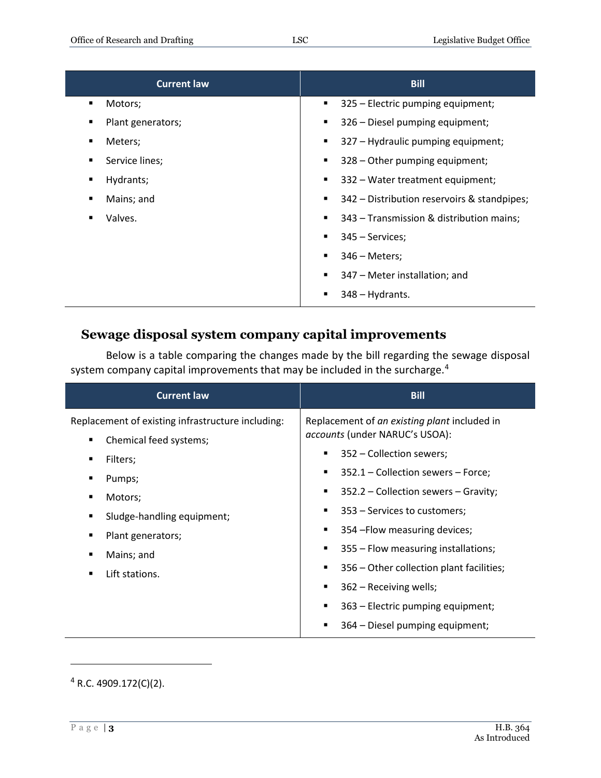| <b>Current law</b> | <b>Bill</b>                                                |
|--------------------|------------------------------------------------------------|
| Motors;            | 325 - Electric pumping equipment;                          |
| ٠                  | ٠                                                          |
| Plant generators;  | 326 - Diesel pumping equipment;                            |
| п                  | ٠                                                          |
| Meters;            | 327 - Hydraulic pumping equipment;                         |
| п                  | ٠                                                          |
| Service lines;     | 328 - Other pumping equipment;                             |
| п                  | ٠                                                          |
| Hydrants;          | 332 – Water treatment equipment;                           |
| ٠                  | ٠                                                          |
| Mains; and         | 342 – Distribution reservoirs & standpipes;                |
| л                  | ٠                                                          |
| Valves.            | 343 – Transmission & distribution mains;<br>$\blacksquare$ |
|                    | 345 – Services;<br>$\blacksquare$                          |
|                    | $346$ – Meters;<br>$\blacksquare$                          |
|                    | 347 – Meter installation; and                              |
|                    | $348 - Hydrants.$                                          |

#### **Sewage disposal system company capital improvements**

Below is a table comparing the changes made by the bill regarding the sewage disposal system company capital improvements that may be included in the surcharge.<sup>4</sup>

| <b>Current law</b>                                                                                                                                                                                                                 | <b>Bill</b>                                                                                                                                                                                                                                                                                                                                                                                                                                                                                                                             |
|------------------------------------------------------------------------------------------------------------------------------------------------------------------------------------------------------------------------------------|-----------------------------------------------------------------------------------------------------------------------------------------------------------------------------------------------------------------------------------------------------------------------------------------------------------------------------------------------------------------------------------------------------------------------------------------------------------------------------------------------------------------------------------------|
| Replacement of existing infrastructure including:<br>Chemical feed systems;<br>٠<br>Filters;<br>Pumps;<br>٠<br>Motors;<br>٠<br>Sludge-handling equipment;<br>٠<br>Plant generators;<br>п<br>Mains; and<br>٠<br>Lift stations.<br>٠ | Replacement of an existing plant included in<br>accounts (under NARUC's USOA):<br>352 – Collection sewers;<br>п<br>352.1 – Collection sewers – Force;<br>$\blacksquare$<br>352.2 – Collection sewers – Gravity;<br>٠<br>353 - Services to customers;<br>٠<br>354 - Flow measuring devices;<br>$\blacksquare$<br>355 - Flow measuring installations;<br>٠<br>356 – Other collection plant facilities;<br>٠<br>362 - Receiving wells;<br>$\blacksquare$<br>363 – Electric pumping equipment;<br>п<br>364 – Diesel pumping equipment;<br>п |

 $\overline{a}$ 

 $4$  R.C. 4909.172(C)(2).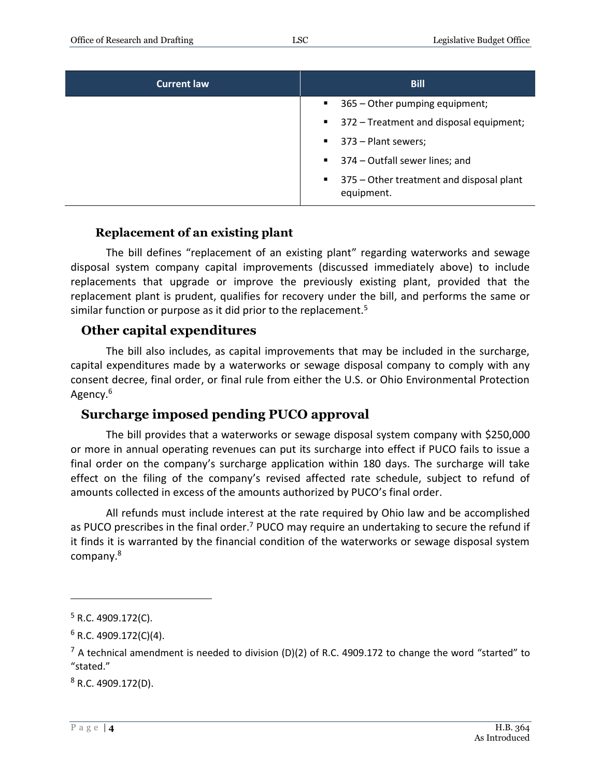| <b>Current law</b> | <b>Bill</b>                                                            |
|--------------------|------------------------------------------------------------------------|
|                    | 365 – Other pumping equipment;<br>$\blacksquare$                       |
|                    | ■ 372 – Treatment and disposal equipment;                              |
|                    | $\blacksquare$ 373 – Plant sewers;                                     |
|                    | ■ 374 – Outfall sewer lines; and                                       |
|                    | 375 – Other treatment and disposal plant<br>$\mathbf{m}$<br>equipment. |

#### **Replacement of an existing plant**

The bill defines "replacement of an existing plant" regarding waterworks and sewage disposal system company capital improvements (discussed immediately above) to include replacements that upgrade or improve the previously existing plant, provided that the replacement plant is prudent, qualifies for recovery under the bill, and performs the same or similar function or purpose as it did prior to the replacement.<sup>5</sup>

#### **Other capital expenditures**

The bill also includes, as capital improvements that may be included in the surcharge, capital expenditures made by a waterworks or sewage disposal company to comply with any consent decree, final order, or final rule from either the U.S. or Ohio Environmental Protection Agency.<sup>6</sup>

#### **Surcharge imposed pending PUCO approval**

The bill provides that a waterworks or sewage disposal system company with \$250,000 or more in annual operating revenues can put its surcharge into effect if PUCO fails to issue a final order on the company's surcharge application within 180 days. The surcharge will take effect on the filing of the company's revised affected rate schedule, subject to refund of amounts collected in excess of the amounts authorized by PUCO's final order.

All refunds must include interest at the rate required by Ohio law and be accomplished as PUCO prescribes in the final order.<sup>7</sup> PUCO may require an undertaking to secure the refund if it finds it is warranted by the financial condition of the waterworks or sewage disposal system company.<sup>8</sup>

 $\overline{a}$ 

 $8$  R.C. 4909.172(D).

 $5$  R.C. 4909.172(C).

 $6$  R.C. 4909.172(C)(4).

 $<sup>7</sup>$  A technical amendment is needed to division (D)(2) of R.C. 4909.172 to change the word "started" to</sup> "stated."